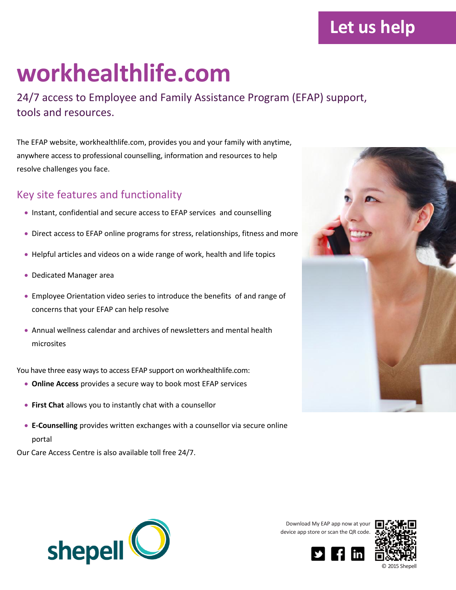## **workhealthlife.com**

24/7 access to Employee and Family Assistance Program (EFAP) support, tools and resources.

The EFAP website, workhealthlife.com, provides you and your family with anytime, anywhere access to professional counselling, information and resources to help resolve challenges you face.

## Key site features and functionality

- Instant, confidential and secure access to EFAP services and counselling
- Direct access to EFAP online programs for stress, relationships, fitness and more
- Helpful articles and videos on a wide range of work, health and life topics
- Dedicated Manager area
- Employee Orientation video series to introduce the benefits of and range of concerns that your EFAP can help resolve
- Annual wellness calendar and archives of newsletters and mental health microsites

You have three easy ways to access EFAP support on workhealthlife.com:

- **Online Access** provides a secure way to book most EFAP services
- **First Chat** allows you to instantly chat with a counsellor
- **E-Counselling** provides written exchanges with a counsellor via secure online portal

Our Care Access Centre is also available toll free 24/7.



**Let us help**



Download My EAP app now at your device app store or scan the QR code.